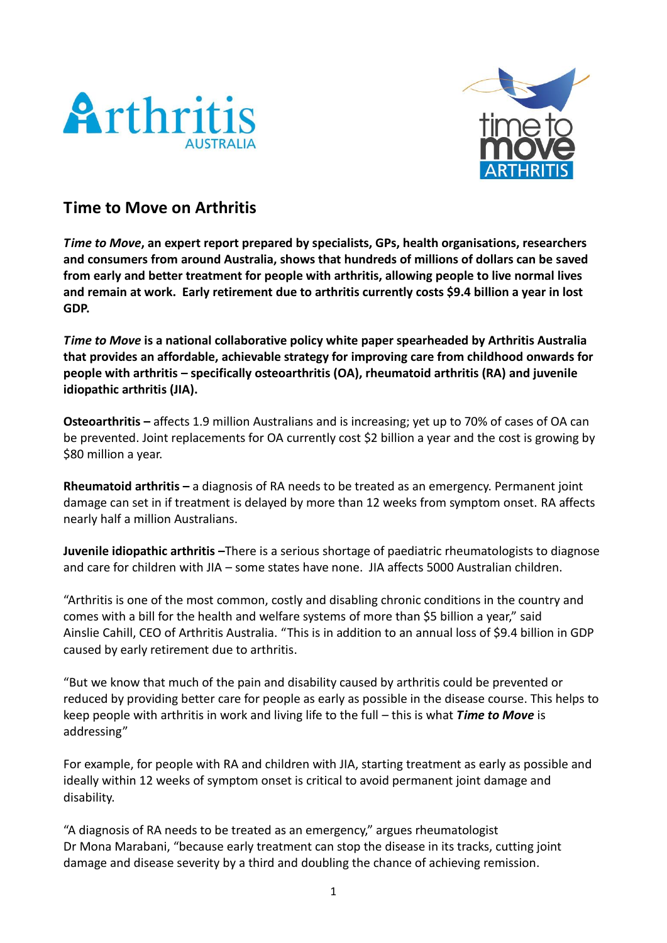



# **Time to Move on Arthritis**

*Time to Move***, an expert report prepared by specialists, GPs, health organisations, researchers and consumers from around Australia, shows that hundreds of millions of dollars can be saved from early and better treatment for people with arthritis, allowing people to live normal lives and remain at work. Early retirement due to arthritis currently costs \$9.4 billion a year in lost GDP.**

*Time to Move* **is a national collaborative policy white paper spearheaded by Arthritis Australia that provides an affordable, achievable strategy for improving care from childhood onwards for people with arthritis – specifically osteoarthritis (OA), rheumatoid arthritis (RA) and juvenile idiopathic arthritis (JIA).** 

**Osteoarthritis –** affects 1.9 million Australians and is increasing; yet up to 70% of cases of OA can be prevented. Joint replacements for OA currently cost \$2 billion a year and the cost is growing by \$80 million a year.

**Rheumatoid arthritis –** a diagnosis of RA needs to be treated as an emergency. Permanent joint damage can set in if treatment is delayed by more than 12 weeks from symptom onset. RA affects nearly half a million Australians.

**Juvenile idiopathic arthritis –**There is a serious shortage of paediatric rheumatologists to diagnose and care for children with JIA – some states have none. JIA affects 5000 Australian children.

"Arthritis is one of the most common, costly and disabling chronic conditions in the country and comes with a bill for the health and welfare systems of more than \$5 billion a year," said Ainslie Cahill, CEO of Arthritis Australia. "This is in addition to an annual loss of \$9.4 billion in GDP caused by early retirement due to arthritis.

"But we know that much of the pain and disability caused by arthritis could be prevented or reduced by providing better care for people as early as possible in the disease course. This helps to keep people with arthritis in work and living life to the full – this is what *Time to Move* is addressing"

For example, for people with RA and children with JIA, starting treatment as early as possible and ideally within 12 weeks of symptom onset is critical to avoid permanent joint damage and disability.

"A diagnosis of RA needs to be treated as an emergency," argues rheumatologist Dr Mona Marabani, "because early treatment can stop the disease in its tracks, cutting joint damage and disease severity by a third and doubling the chance of achieving remission.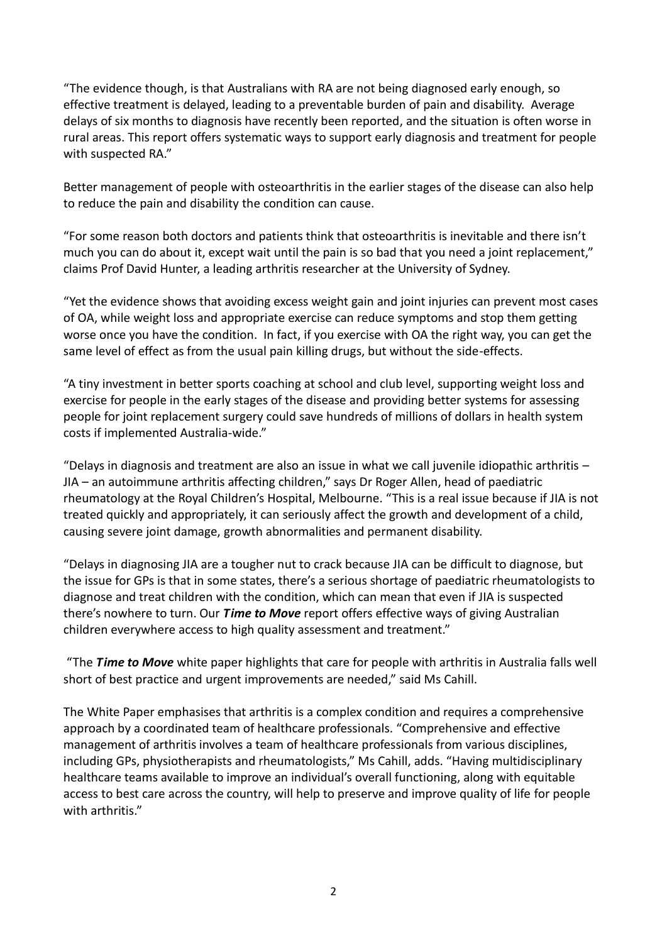"The evidence though, is that Australians with RA are not being diagnosed early enough, so effective treatment is delayed, leading to a preventable burden of pain and disability. Average delays of six months to diagnosis have recently been reported, and the situation is often worse in rural areas. This report offers systematic ways to support early diagnosis and treatment for people with suspected RA."

Better management of people with osteoarthritis in the earlier stages of the disease can also help to reduce the pain and disability the condition can cause.

"For some reason both doctors and patients think that osteoarthritis is inevitable and there isn't much you can do about it, except wait until the pain is so bad that you need a joint replacement," claims Prof David Hunter, a leading arthritis researcher at the University of Sydney.

"Yet the evidence shows that avoiding excess weight gain and joint injuries can prevent most cases of OA, while weight loss and appropriate exercise can reduce symptoms and stop them getting worse once you have the condition. In fact, if you exercise with OA the right way, you can get the same level of effect as from the usual pain killing drugs, but without the side-effects.

"A tiny investment in better sports coaching at school and club level, supporting weight loss and exercise for people in the early stages of the disease and providing better systems for assessing people for joint replacement surgery could save hundreds of millions of dollars in health system costs if implemented Australia-wide."

"Delays in diagnosis and treatment are also an issue in what we call juvenile idiopathic arthritis – JIA – an autoimmune arthritis affecting children," says Dr Roger Allen, head of paediatric rheumatology at the Royal Children's Hospital, Melbourne. "This is a real issue because if JIA is not treated quickly and appropriately, it can seriously affect the growth and development of a child, causing severe joint damage, growth abnormalities and permanent disability.

"Delays in diagnosing JIA are a tougher nut to crack because JIA can be difficult to diagnose, but the issue for GPs is that in some states, there's a serious shortage of paediatric rheumatologists to diagnose and treat children with the condition, which can mean that even if JIA is suspected there's nowhere to turn. Our *Time to Move* report offers effective ways of giving Australian children everywhere access to high quality assessment and treatment."

"The *Time to Move* white paper highlights that care for people with arthritis in Australia falls well short of best practice and urgent improvements are needed," said Ms Cahill.

The White Paper emphasises that arthritis is a complex condition and requires a comprehensive approach by a coordinated team of healthcare professionals. "Comprehensive and effective management of arthritis involves a team of healthcare professionals from various disciplines, including GPs, physiotherapists and rheumatologists," Ms Cahill, adds. "Having multidisciplinary healthcare teams available to improve an individual's overall functioning, along with equitable access to best care across the country, will help to preserve and improve quality of life for people with arthritis."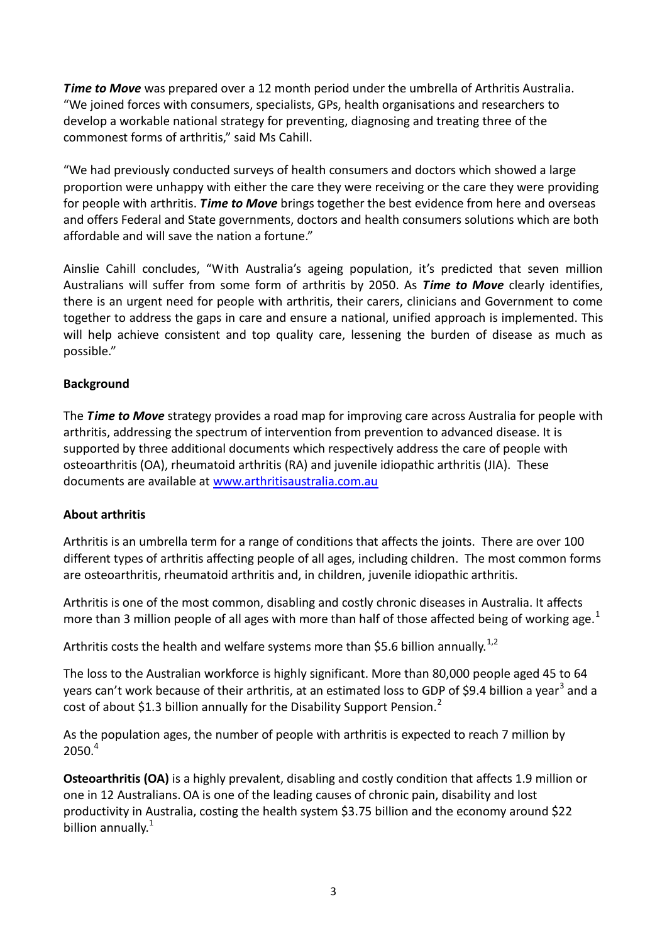*Time to Move* was prepared over a 12 month period under the umbrella of Arthritis Australia. "We joined forces with consumers, specialists, GPs, health organisations and researchers to develop a workable national strategy for preventing, diagnosing and treating three of the commonest forms of arthritis," said Ms Cahill.

"We had previously conducted surveys of health consumers and doctors which showed a large proportion were unhappy with either the care they were receiving or the care they were providing for people with arthritis. *Time to Move* brings together the best evidence from here and overseas and offers Federal and State governments, doctors and health consumers solutions which are both affordable and will save the nation a fortune."

Ainslie Cahill concludes, "With Australia's ageing population, it's predicted that seven million Australians will suffer from some form of arthritis by 2050. As *Time to Move* clearly identifies, there is an urgent need for people with arthritis, their carers, clinicians and Government to come together to address the gaps in care and ensure a national, unified approach is implemented. This will help achieve consistent and top quality care, lessening the burden of disease as much as possible."

## **Background**

The *Time to Move* strategy provides a road map for improving care across Australia for people with arthritis, addressing the spectrum of intervention from prevention to advanced disease. It is supported by three additional documents which respectively address the care of people with osteoarthritis (OA), rheumatoid arthritis (RA) and juvenile idiopathic arthritis (JIA). These documents are available at [www.arthritisaustralia.com.au](http://www.arthritisaustralia.com.au/)

#### **About arthritis**

Arthritis is an umbrella term for a range of conditions that affects the joints. There are over 100 different types of arthritis affecting people of all ages, including children. The most common forms are osteoarthritis, rheumatoid arthritis and, in children, juvenile idiopathic arthritis.

Arthritis is one of the most common, disabling and costly chronic diseases in Australia. It affects more than 3 million people of all ages with more than half of those affected being of working age.<sup>1</sup>

Arthritis costs the health and welfare systems more than \$5.6 billion annually.<sup>1,2</sup>

The loss to the Australian workforce is highly significant. More than 80,000 people aged 45 to 64 years can't work because of their arthritis, at an estimated loss to GDP of \$9.4 billion a year<sup>3</sup> and a cost of about \$1.3 billion annually for the Disability Support Pension.<sup>2</sup>

As the population ages, the number of people with arthritis is expected to reach 7 million by  $2050.<sup>4</sup>$ 

**Osteoarthritis (OA)** is a highly prevalent, disabling and costly condition that affects 1.9 million or one in 12 Australians.OA is one of the leading causes of chronic pain, disability and lost productivity in Australia, costing the health system \$3.75 billion and the economy around \$22 billion annually.<sup>1</sup>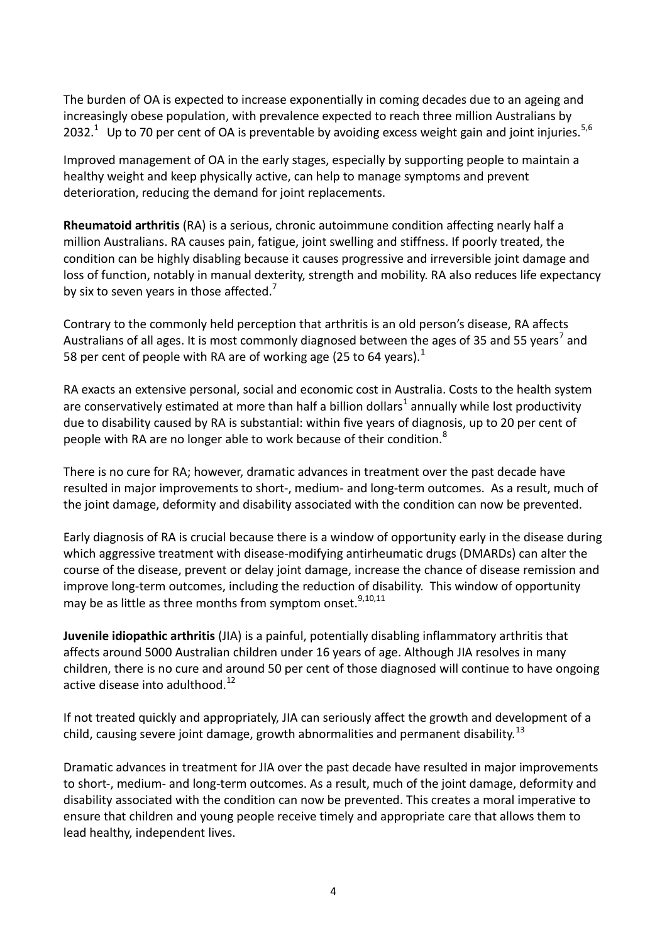The burden of OA is expected to increase exponentially in coming decades due to an ageing and increasingly obese population, with prevalence expected to reach three million Australians by 2032.<sup>1</sup> Up to 70 per cent of OA is preventable by avoiding excess weight gain and joint injuries.<sup>5,6</sup>

Improved management of OA in the early stages, especially by supporting people to maintain a healthy weight and keep physically active, can help to manage symptoms and prevent deterioration, reducing the demand for joint replacements.

**Rheumatoid arthritis** (RA) is a serious, chronic autoimmune condition affecting nearly half a million Australians. RA causes pain, fatigue, joint swelling and stiffness. If poorly treated, the condition can be highly disabling because it causes progressive and irreversible joint damage and loss of function, notably in manual dexterity, strength and mobility. RA also reduces life expectancy by six to seven years in those affected. $<sup>7</sup>$ </sup>

Contrary to the commonly held perception that arthritis is an old person's disease, RA affects Australians of all ages. It is most commonly diagnosed between the ages of 35 and 55 years<sup>7</sup> and 58 per cent of people with RA are of working age (25 to 64 years). $<sup>1</sup>$ </sup>

RA exacts an extensive personal, social and economic cost in Australia. Costs to the health system are conservatively estimated at more than half a billion dollars<sup>1</sup> annually while lost productivity due to disability caused by RA is substantial: within five years of diagnosis, up to 20 per cent of people with RA are no longer able to work because of their condition.<sup>8</sup>

There is no cure for RA; however, dramatic advances in treatment over the past decade have resulted in major improvements to short-, medium- and long-term outcomes. As a result, much of the joint damage, deformity and disability associated with the condition can now be prevented.

Early diagnosis of RA is crucial because there is a window of opportunity early in the disease during which aggressive treatment with disease-modifying antirheumatic drugs (DMARDs) can alter the course of the disease, prevent or delay joint damage, increase the chance of disease remission and improve long-term outcomes, including the reduction of disability. This window of opportunity may be as little as three months from symptom onset.<sup>9,10,11</sup>

**Juvenile idiopathic arthritis** (JIA) is a painful, potentially disabling inflammatory arthritis that affects around 5000 Australian children under 16 years of age. Although JIA resolves in many children, there is no cure and around 50 per cent of those diagnosed will continue to have ongoing active disease into adulthood. $12$ 

If not treated quickly and appropriately, JIA can seriously affect the growth and development of a child, causing severe joint damage, growth abnormalities and permanent disability.<sup>13</sup>

Dramatic advances in treatment for JIA over the past decade have resulted in major improvements to short-, medium- and long-term outcomes. As a result, much of the joint damage, deformity and disability associated with the condition can now be prevented. This creates a moral imperative to ensure that children and young people receive timely and appropriate care that allows them to lead healthy, independent lives.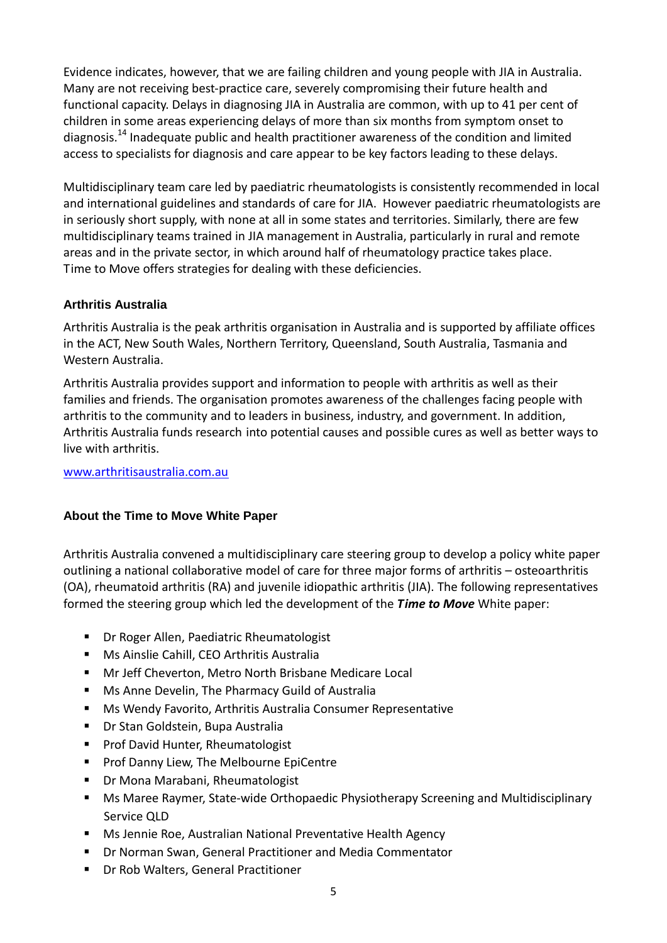Evidence indicates, however, that we are failing children and young people with JIA in Australia. Many are not receiving best-practice care, severely compromising their future health and functional capacity. Delays in diagnosing JIA in Australia are common, with up to 41 per cent of children in some areas experiencing delays of more than six months from symptom onset to diagnosis.<sup>14</sup> Inadequate public and health practitioner awareness of the condition and limited access to specialists for diagnosis and care appear to be key factors leading to these delays.

Multidisciplinary team care led by paediatric rheumatologists is consistently recommended in local and international guidelines and standards of care for JIA. However paediatric rheumatologists are in seriously short supply, with none at all in some states and territories. Similarly, there are few multidisciplinary teams trained in JIA management in Australia, particularly in rural and remote areas and in the private sector, in which around half of rheumatology practice takes place. Time to Move offers strategies for dealing with these deficiencies.

## **Arthritis Australia**

Arthritis Australia is the peak arthritis organisation in Australia and is supported by affiliate offices in the ACT, New South Wales, Northern Territory, Queensland, South Australia, Tasmania and Western Australia.

Arthritis Australia provides support and information to people with arthritis as well as their families and friends. The organisation promotes awareness of the challenges facing people with arthritis to the community and to leaders in business, industry, and government. In addition, Arthritis Australia funds research into potential causes and possible cures as well as better ways to live with arthritis.

#### [www.arthritisaustralia.com.au](http://www.arthritisaustralia.com.au/)

#### **About the Time to Move White Paper**

Arthritis Australia convened a multidisciplinary care steering group to develop a policy white paper outlining a national collaborative model of care for three major forms of arthritis – osteoarthritis (OA), rheumatoid arthritis (RA) and juvenile idiopathic arthritis (JIA). The following representatives formed the steering group which led the development of the *Time to Move* White paper:

- Dr Roger Allen, Paediatric Rheumatologist
- Ms Ainslie Cahill, CEO Arthritis Australia
- Mr Jeff Cheverton, Metro North Brisbane Medicare Local
- **Ms Anne Develin, The Pharmacy Guild of Australia**
- Ms Wendy Favorito, Arthritis Australia Consumer Representative
- **Dr Stan Goldstein, Bupa Australia**
- **Prof David Hunter, Rheumatologist**
- **Prof Danny Liew, The Melbourne EpiCentre**
- Dr Mona Marabani, Rheumatologist
- Ms Maree Raymer, State-wide Orthopaedic Physiotherapy Screening and Multidisciplinary Service QLD
- Ms Jennie Roe, Australian National Preventative Health Agency
- Dr Norman Swan, General Practitioner and Media Commentator
- Dr Rob Walters, General Practitioner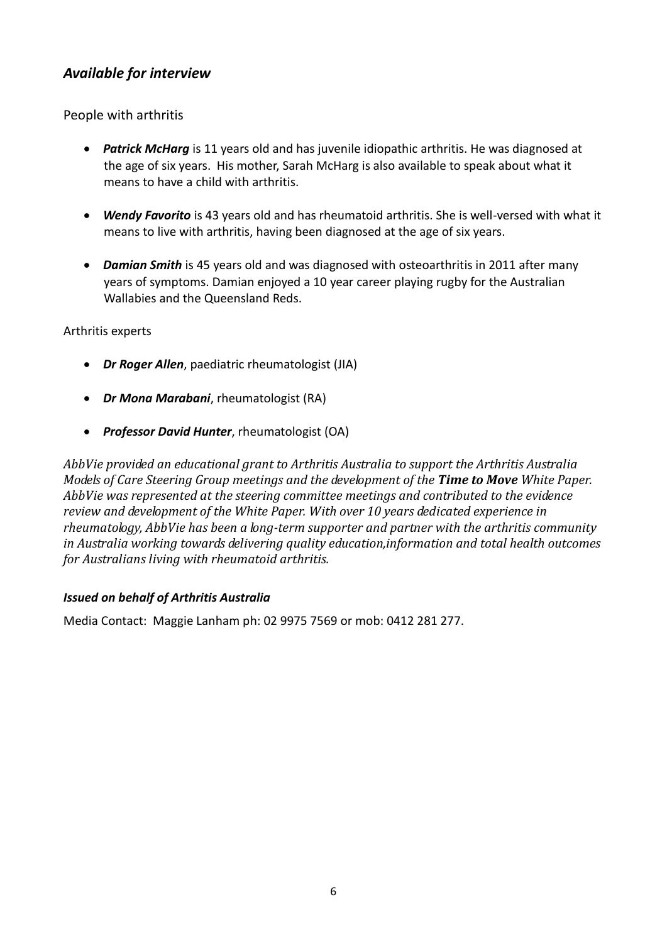# *Available for interview*

People with arthritis

- *Patrick McHarg* is 11 years old and has juvenile idiopathic arthritis. He was diagnosed at the age of six years. His mother, Sarah McHarg is also available to speak about what it means to have a child with arthritis.
- *Wendy Favorito* is 43 years old and has rheumatoid arthritis. She is well-versed with what it means to live with arthritis, having been diagnosed at the age of six years.
- *Damian Smith* is 45 years old and was diagnosed with osteoarthritis in 2011 after many years of symptoms. Damian enjoyed a 10 year career playing rugby for the Australian Wallabies and the Queensland Reds.

## Arthritis experts

- *Dr Roger Allen*, paediatric rheumatologist (JIA)
- *Dr Mona Marabani*, rheumatologist (RA)
- *Professor David Hunter*, rheumatologist (OA)

*AbbVie provided an educational grant to Arthritis Australia to support the Arthritis Australia Models of Care Steering Group meetings and the development of the Time to Move White Paper. AbbVie was represented at the steering committee meetings and contributed to the evidence review and development of the White Paper. With over 10 years dedicated experience in rheumatology, AbbVie has been a long-term supporter and partner with the arthritis community in Australia working towards delivering quality education,information and total health outcomes for Australians living with rheumatoid arthritis.*

#### *Issued on behalf of Arthritis Australia*

Media Contact: Maggie Lanham ph: 02 9975 7569 or mob: 0412 281 277.